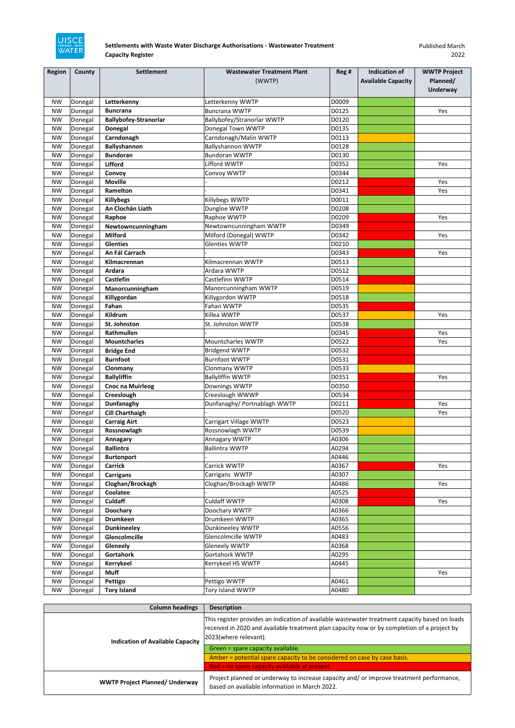| Region    | County  | <b>Settlement</b>            | <b>Wastewater Treatment Plant</b> | Reg # | <b>Indication of</b>      | <b>WWTP Project</b> |
|-----------|---------|------------------------------|-----------------------------------|-------|---------------------------|---------------------|
|           |         |                              | (WWTP)                            |       | <b>Available Capacity</b> | Planned/            |
|           |         |                              |                                   |       |                           | <b>Underway</b>     |
| <b>NW</b> | Donegal | Letterkenny                  | Letterkenny WWTP                  | D0009 |                           |                     |
| <b>NW</b> | Donegal | <b>Buncrana</b>              | <b>Buncrana WWTP</b>              | D0125 |                           | Yes                 |
| <b>NW</b> | Donegal | <b>Ballybofey-Stranorlar</b> | Ballybofey/Stranorlar WWTP        | D0120 |                           |                     |
| <b>NW</b> | Donegal | <b>Donegal</b>               | Donegal Town WWTP                 | D0135 |                           |                     |
| <b>NW</b> | Donegal | Carndonagh                   | Carndonagh/Malin WWTP             | D0113 |                           |                     |
| <b>NW</b> | Donegal | <b>Ballyshannon</b>          | <b>Ballyshannon WWTP</b>          | D0128 |                           |                     |
| <b>NW</b> | Donegal | <b>Bundoran</b>              | <b>Bundoran WWTP</b>              | D0130 |                           |                     |
| <b>NW</b> | Donegal | <b>Lifford</b>               | Lifford WWTP                      | D0352 |                           | Yes                 |
| <b>NW</b> | Donegal | Convoy                       | Convoy WWTP                       | D0344 |                           |                     |
| <b>NW</b> | Donegal | <b>Moville</b>               |                                   | D0212 |                           | Yes                 |
| <b>NW</b> | Donegal | Ramelton                     |                                   | D0341 |                           | Yes                 |
| <b>NW</b> | Donegal | <b>Killybegs</b>             | Killybegs WWTP                    | D0011 |                           |                     |
| <b>NW</b> | Donegal | An Clochán Liath             | Dungloe WWTP                      | D0208 |                           |                     |
| <b>NW</b> | Donegal | Raphoe                       | Raphoe WWTP                       | D0209 |                           | Yes                 |
| <b>NW</b> | Donegal | Newtowncunningham            | Newtowncunningham WWTP            | D0349 |                           |                     |
| <b>NW</b> | Donegal | <b>Milford</b>               | Milford (Donegal) WWTP            | D0342 |                           | Yes                 |
| <b>NW</b> | Donegal | <b>Glenties</b>              | <b>Glenties WWTP</b>              | D0210 |                           |                     |
| <b>NW</b> | Donegal | An Fál Carrach               |                                   | D0343 |                           | Yes                 |
| <b>NW</b> | Donegal | Kilmacrennan                 | Kilmacrennan WWTP                 | D0513 |                           |                     |
| <b>NW</b> | Donegal | Ardara                       | Ardara WWTP                       | D0512 |                           |                     |
| <b>NW</b> | Donegal | <b>Castlefin</b>             | Castlefinn WWTP                   | D0514 |                           |                     |
| <b>NW</b> | Donegal | Manorcunningham              | Manorcunningham WWTP              | D0519 |                           |                     |
| <b>NW</b> | Donegal | Killygordan                  | Killygordon WWTP                  | D0518 |                           |                     |
| <b>NW</b> | Donegal | Fahan                        | Fahan WWTP                        | D0535 |                           |                     |
| <b>NW</b> | Donegal | Kildrum                      | Killea WWTP                       | D0537 |                           | Yes                 |
| <b>NW</b> | Donegal | St. Johnston                 | St. Johnston WWTP                 | D0538 |                           |                     |
| <b>NW</b> | Donegal | Rathmullen                   |                                   | D0345 |                           | Yes                 |
| <b>NW</b> | Donegal | <b>Mountcharles</b>          | Mountcharles WWTP                 | D0522 |                           | Yes                 |
| <b>NW</b> | Donegal | <b>Bridge End</b>            | <b>Bridgend WWTP</b>              | D0532 |                           |                     |
| <b>NW</b> | Donegal | <b>Burnfoot</b>              | <b>Burnfoot WWTP</b>              | D0531 |                           |                     |
| <b>NW</b> | Donegal | Clonmany                     | Clonmany WWTP                     | D0533 |                           |                     |
| <b>NW</b> | Donegal | <b>Ballyliffin</b>           | <b>Ballyliffin WWTP</b>           | D0351 |                           | Yes                 |
| <b>NW</b> | Donegal | <b>Cnoc na Muirleog</b>      | Downings WWTP                     | D0350 |                           |                     |
| <b>NW</b> | Donegal | Creeslough                   | Creeslough WWWP                   | D0534 |                           |                     |
| <b>NW</b> | Donegal | Dunfanaghy                   | Dunfanaghy/ Portnablagh WWTP      | D0211 |                           | Yes                 |
| <b>NW</b> | Donegal | <b>Cill Charthaigh</b>       |                                   | D0520 |                           | Yes                 |
| <b>NW</b> | Donegal | <b>Carraig Airt</b>          | Carrigart Village WWTP            | D0523 |                           |                     |
| <b>NW</b> | Donegal | Rossnowlagh                  | Rossnowlagh WWTP                  | D0539 |                           |                     |
| <b>NW</b> | Donegal | Annagary                     | Annagary WWTP                     | A0306 |                           |                     |
| <b>NW</b> | Donegal | <b>Ballintra</b>             | <b>Ballintra WWTP</b>             | A0294 |                           |                     |
| <b>NW</b> | Donegal | <b>Burtonport</b>            |                                   | A0446 |                           |                     |
| <b>NW</b> | Donegal | <b>Carrick</b>               | Carrick WWTP                      | A0367 |                           | Yes                 |
| <b>NW</b> | Donegal | <b>Carrigans</b>             | Carrigans WWTP                    | A0307 |                           |                     |
| <b>NW</b> | Donegal | Cloghan/Brockagh             | Cloghan/Brockagh WWTP             | A0486 |                           | Yes                 |
| <b>NW</b> | Donegal | Coolatee                     |                                   | A0525 |                           |                     |
| <b>NW</b> | Donegal | <b>Culdaff</b>               | <b>Culdaff WWTP</b>               | A0308 |                           | Yes                 |
| <b>NW</b> | Donegal | <b>Doochary</b>              | Doochary WWTP                     | A0366 |                           |                     |
| <b>NW</b> | Donegal | <b>Drumkeen</b>              | Drumkeen WWTP                     | A0365 |                           |                     |
| <b>NW</b> | Donegal | <b>Dunkineeley</b>           | Dunkineeley WWTP                  | A0556 |                           |                     |
| <b>NW</b> | Donegal | Glencolmcille                | Glencolmcille WWTP                | A0483 |                           |                     |
| <b>NW</b> | Donegal | Gleneely                     | <b>Gleneely WWTP</b>              | A0368 |                           |                     |
| <b>NW</b> | Donegal | <b>Gortahork</b>             | Gortahork WWTP                    | A0295 |                           |                     |
| <b>NW</b> | Donegal | Kerrykeel                    | Kerrykeel HS WWTP                 | A0445 |                           |                     |
| <b>NW</b> | Donegal | <b>Muff</b>                  |                                   |       |                           | Yes                 |
| <b>NW</b> | Donegal | Pettigo                      | Pettigo WWTP                      | A0461 |                           |                     |
| <b>NW</b> | Donegal | <b>Tory Island</b>           | Tory Island WWTP                  | A0480 |                           |                     |

| <b>Column headings</b>                  | <b>Description</b>                                                                                                                                                                                                     |  |
|-----------------------------------------|------------------------------------------------------------------------------------------------------------------------------------------------------------------------------------------------------------------------|--|
| <b>Indication of Available Capacity</b> | This register provides an indication of available wastewater treatment capacity based on loads<br>received in 2020 and available treatment plan capacity now or by completion of a project by<br>2023(where relevant). |  |
|                                         | Green = spare capacity available.                                                                                                                                                                                      |  |
|                                         | Amber = potential spare capacity to be considered on case by case basis.                                                                                                                                               |  |
|                                         | Red = no spare capacity available at present.                                                                                                                                                                          |  |
| <b>WWTP Project Planned/ Underway</b>   | Project planned or underway to increase capacity and/or improve treatment performance,<br>based on available information in March 2022.                                                                                |  |